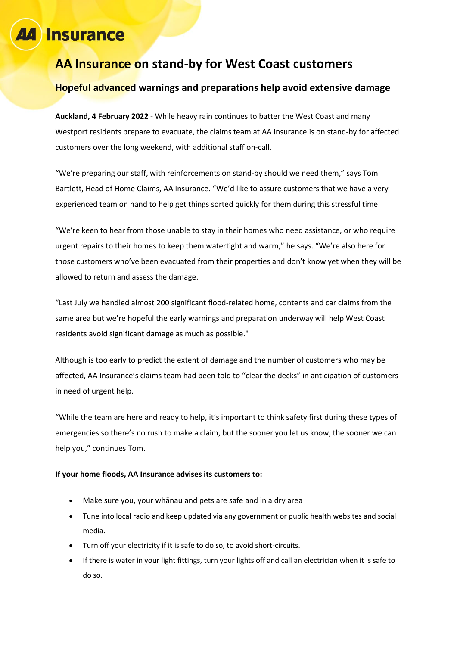## Insurance

### **AA Insurance on stand-by for West Coast customers**

#### **Hopeful advanced warnings and preparations help avoid extensive damage**

**Auckland, 4 February 2022** - While heavy rain continues to batter the West Coast and many Westport residents prepare to evacuate, the claims team at AA Insurance is on stand-by for affected customers over the long weekend, with additional staff on-call.

"We're preparing our staff, with reinforcements on stand-by should we need them," says Tom Bartlett, Head of Home Claims, AA Insurance. "We'd like to assure customers that we have a very experienced team on hand to help get things sorted quickly for them during this stressful time.

"We're keen to hear from those unable to stay in their homes who need assistance, or who require urgent repairs to their homes to keep them watertight and warm," he says. "We're also here for those customers who've been evacuated from their properties and don't know yet when they will be allowed to return and assess the damage.

"Last July we handled almost 200 significant flood-related home, contents and car claims from the same area but we're hopeful the early warnings and preparation underway will help West Coast residents avoid significant damage as much as possible."

Although is too early to predict the extent of damage and the number of customers who may be affected, AA Insurance's claims team had been told to "clear the decks" in anticipation of customers in need of urgent help.

"While the team are here and ready to help, it's important to think safety first during these types of emergencies so there's no rush to make a claim, but the sooner you let us know, the sooner we can help you," continues Tom.

#### **If your home floods, AA Insurance advises its customers to:**

- Make sure you, your whānau and pets are safe and in a dry area
- Tune into local radio and keep updated via any government or public health websites and social media.
- Turn off your electricity if it is safe to do so, to avoid short-circuits.
- If there is water in your light fittings, turn your lights off and call an electrician when it is safe to do so.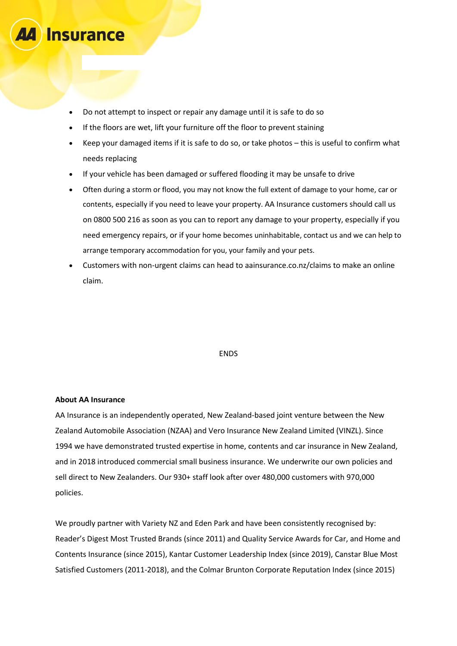

- If the floors are wet, lift your furniture off the floor to prevent staining
- Keep your damaged items if it is safe to do so, or take photos this is useful to confirm what needs replacing
- If your vehicle has been damaged or suffered flooding it may be unsafe to drive
- Often during a storm or flood, you may not know the full extent of damage to your home, car or contents, especially if you need to leave your property. AA Insurance customers should call us on 0800 500 216 as soon as you can to report any damage to your property, especially if you need emergency repairs, or if your home becomes uninhabitable, contact us and we can help to arrange temporary accommodation for you, your family and your pets.
- Customers with non-urgent claims can head to aainsurance.co.nz/claims to make an online claim.

#### ENDS

#### **About AA Insurance**

**Insurance** 

AA Insurance is an independently operated, New Zealand-based joint venture between the New Zealand Automobile Association (NZAA) and Vero Insurance New Zealand Limited (VINZL). Since 1994 we have demonstrated trusted expertise in home, contents and car insurance in New Zealand, and in 2018 introduced commercial small business insurance. We underwrite our own policies and sell direct to New Zealanders. Our 930+ staff look after over 480,000 customers with 970,000 policies.

We proudly partner with Variety NZ and Eden Park and have been consistently recognised by: Reader's Digest Most Trusted Brands (since 2011) and Quality Service Awards for Car, and Home and Contents Insurance (since 2015), Kantar Customer Leadership Index (since 2019), Canstar Blue Most Satisfied Customers (2011-2018), and the Colmar Brunton Corporate Reputation Index (since 2015)